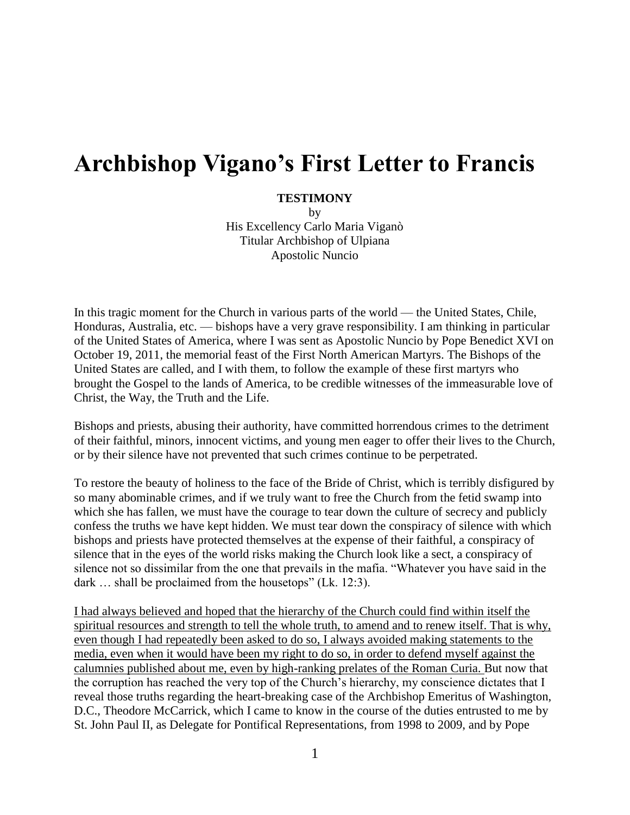# **Archbishop Vigano's First Letter to Francis**

#### **TESTIMONY**

by His Excellency Carlo Maria Viganò Titular Archbishop of Ulpiana Apostolic Nuncio

In this tragic moment for the Church in various parts of the world — the United States, Chile, Honduras, Australia, etc. — bishops have a very grave responsibility. I am thinking in particular of the United States of America, where I was sent as Apostolic Nuncio by Pope Benedict XVI on October 19, 2011, the memorial feast of the First North American Martyrs. The Bishops of the United States are called, and I with them, to follow the example of these first martyrs who brought the Gospel to the lands of America, to be credible witnesses of the immeasurable love of Christ, the Way, the Truth and the Life.

Bishops and priests, abusing their authority, have committed horrendous crimes to the detriment of their faithful, minors, innocent victims, and young men eager to offer their lives to the Church, or by their silence have not prevented that such crimes continue to be perpetrated.

To restore the beauty of holiness to the face of the Bride of Christ, which is terribly disfigured by so many abominable crimes, and if we truly want to free the Church from the fetid swamp into which she has fallen, we must have the courage to tear down the culture of secrecy and publicly confess the truths we have kept hidden. We must tear down the conspiracy of silence with which bishops and priests have protected themselves at the expense of their faithful, a conspiracy of silence that in the eyes of the world risks making the Church look like a sect, a conspiracy of silence not so dissimilar from the one that prevails in the mafia. "Whatever you have said in the dark … shall be proclaimed from the housetops" (Lk. 12:3).

I had always believed and hoped that the hierarchy of the Church could find within itself the spiritual resources and strength to tell the whole truth, to amend and to renew itself. That is why, even though I had repeatedly been asked to do so, I always avoided making statements to the media, even when it would have been my right to do so, in order to defend myself against the calumnies published about me, even by high-ranking prelates of the Roman Curia. But now that the corruption has reached the very top of the Church's hierarchy, my conscience dictates that I reveal those truths regarding the heart-breaking case of the Archbishop Emeritus of Washington, D.C., Theodore McCarrick, which I came to know in the course of the duties entrusted to me by St. John Paul II, as Delegate for Pontifical Representations, from 1998 to 2009, and by Pope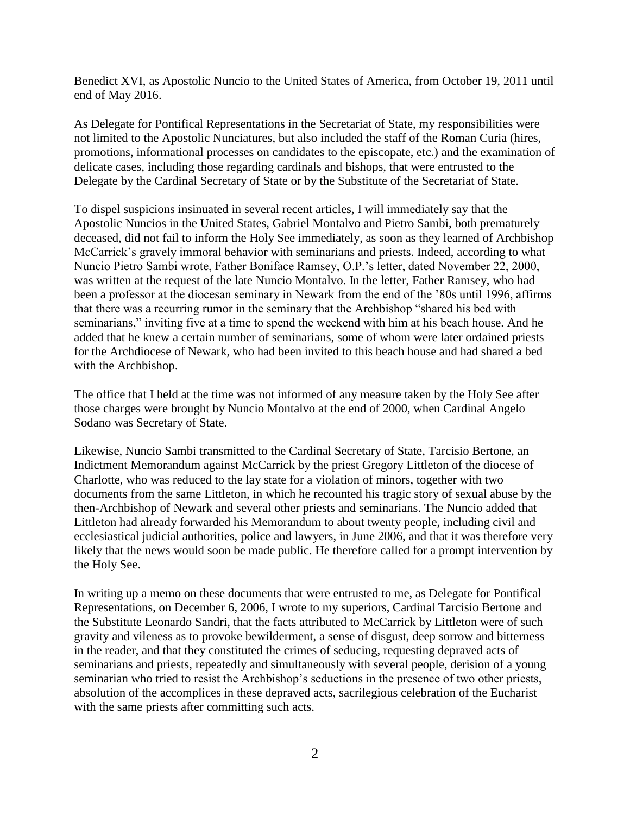Benedict XVI, as Apostolic Nuncio to the United States of America, from October 19, 2011 until end of May 2016.

As Delegate for Pontifical Representations in the Secretariat of State, my responsibilities were not limited to the Apostolic Nunciatures, but also included the staff of the Roman Curia (hires, promotions, informational processes on candidates to the episcopate, etc.) and the examination of delicate cases, including those regarding cardinals and bishops, that were entrusted to the Delegate by the Cardinal Secretary of State or by the Substitute of the Secretariat of State.

To dispel suspicions insinuated in several recent articles, I will immediately say that the Apostolic Nuncios in the United States, Gabriel Montalvo and Pietro Sambi, both prematurely deceased, did not fail to inform the Holy See immediately, as soon as they learned of Archbishop McCarrick's gravely immoral behavior with seminarians and priests. Indeed, according to what Nuncio Pietro Sambi wrote, Father Boniface Ramsey, O.P.'s letter, dated November 22, 2000, was written at the request of the late Nuncio Montalvo. In the letter, Father Ramsey, who had been a professor at the diocesan seminary in Newark from the end of the '80s until 1996, affirms that there was a recurring rumor in the seminary that the Archbishop "shared his bed with seminarians," inviting five at a time to spend the weekend with him at his beach house. And he added that he knew a certain number of seminarians, some of whom were later ordained priests for the Archdiocese of Newark, who had been invited to this beach house and had shared a bed with the Archbishop.

The office that I held at the time was not informed of any measure taken by the Holy See after those charges were brought by Nuncio Montalvo at the end of 2000, when Cardinal Angelo Sodano was Secretary of State.

Likewise, Nuncio Sambi transmitted to the Cardinal Secretary of State, Tarcisio Bertone, an Indictment Memorandum against McCarrick by the priest Gregory Littleton of the diocese of Charlotte, who was reduced to the lay state for a violation of minors, together with two documents from the same Littleton, in which he recounted his tragic story of sexual abuse by the then-Archbishop of Newark and several other priests and seminarians. The Nuncio added that Littleton had already forwarded his Memorandum to about twenty people, including civil and ecclesiastical judicial authorities, police and lawyers, in June 2006, and that it was therefore very likely that the news would soon be made public. He therefore called for a prompt intervention by the Holy See.

In writing up a memo on these documents that were entrusted to me, as Delegate for Pontifical Representations, on December 6, 2006, I wrote to my superiors, Cardinal Tarcisio Bertone and the Substitute Leonardo Sandri, that the facts attributed to McCarrick by Littleton were of such gravity and vileness as to provoke bewilderment, a sense of disgust, deep sorrow and bitterness in the reader, and that they constituted the crimes of seducing, requesting depraved acts of seminarians and priests, repeatedly and simultaneously with several people, derision of a young seminarian who tried to resist the Archbishop's seductions in the presence of two other priests, absolution of the accomplices in these depraved acts, sacrilegious celebration of the Eucharist with the same priests after committing such acts.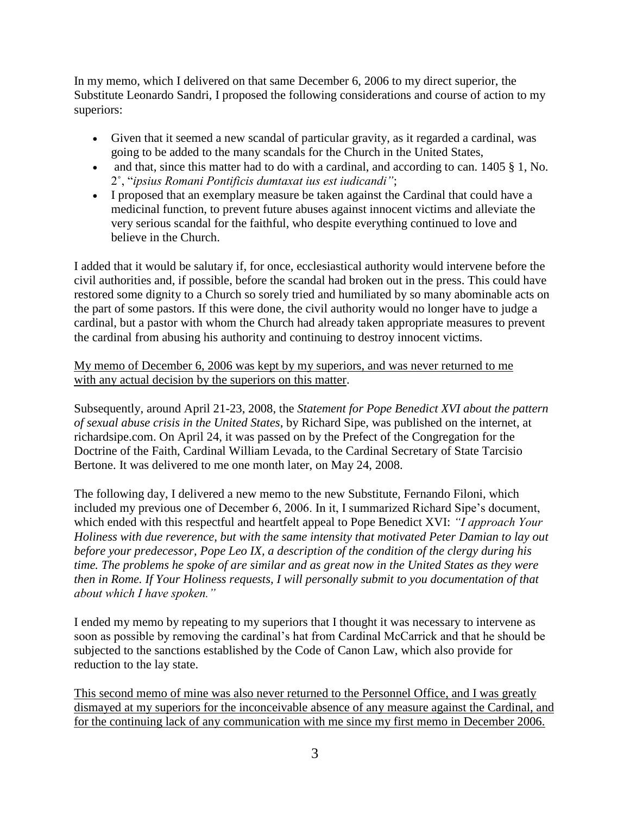In my memo, which I delivered on that same December 6, 2006 to my direct superior, the Substitute Leonardo Sandri, I proposed the following considerations and course of action to my superiors:

- Given that it seemed a new scandal of particular gravity, as it regarded a cardinal, was going to be added to the many scandals for the Church in the United States,
- and that, since this matter had to do with a cardinal, and according to can.  $1405 \t{ }$ , No. 2˚, "*ipsius Romani Pontificis dumtaxat ius est iudicandi"*;
- I proposed that an exemplary measure be taken against the Cardinal that could have a medicinal function, to prevent future abuses against innocent victims and alleviate the very serious scandal for the faithful, who despite everything continued to love and believe in the Church.

I added that it would be salutary if, for once, ecclesiastical authority would intervene before the civil authorities and, if possible, before the scandal had broken out in the press. This could have restored some dignity to a Church so sorely tried and humiliated by so many abominable acts on the part of some pastors. If this were done, the civil authority would no longer have to judge a cardinal, but a pastor with whom the Church had already taken appropriate measures to prevent the cardinal from abusing his authority and continuing to destroy innocent victims.

## My memo of December 6, 2006 was kept by my superiors, and was never returned to me with any actual decision by the superiors on this matter.

Subsequently, around April 21-23, 2008, the *Statement for Pope Benedict XVI about the pattern of sexual abuse crisis in the United States*, by Richard Sipe, was published on the internet, at richardsipe.com. On April 24, it was passed on by the Prefect of the Congregation for the Doctrine of the Faith, Cardinal William Levada, to the Cardinal Secretary of State Tarcisio Bertone. It was delivered to me one month later, on May 24, 2008.

The following day, I delivered a new memo to the new Substitute, Fernando Filoni, which included my previous one of December 6, 2006. In it, I summarized Richard Sipe's document, which ended with this respectful and heartfelt appeal to Pope Benedict XVI: *"I approach Your Holiness with due reverence, but with the same intensity that motivated Peter Damian to lay out before your predecessor, Pope Leo IX, a description of the condition of the clergy during his time. The problems he spoke of are similar and as great now in the United States as they were then in Rome. If Your Holiness requests, I will personally submit to you documentation of that about which I have spoken."*

I ended my memo by repeating to my superiors that I thought it was necessary to intervene as soon as possible by removing the cardinal's hat from Cardinal McCarrick and that he should be subjected to the sanctions established by the Code of Canon Law, which also provide for reduction to the lay state.

This second memo of mine was also never returned to the Personnel Office, and I was greatly dismayed at my superiors for the inconceivable absence of any measure against the Cardinal, and for the continuing lack of any communication with me since my first memo in December 2006.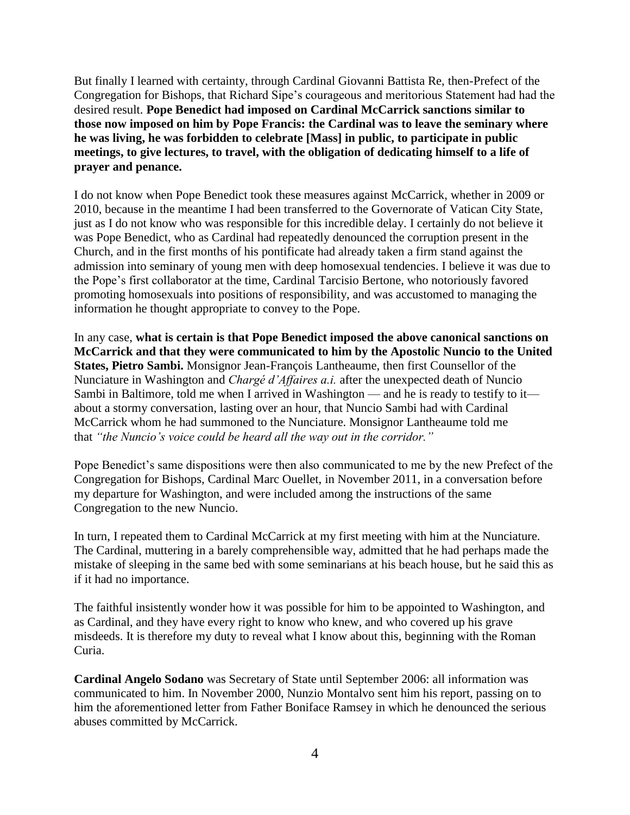But finally I learned with certainty, through Cardinal Giovanni Battista Re, then-Prefect of the Congregation for Bishops, that Richard Sipe's courageous and meritorious Statement had had the desired result. **Pope Benedict had imposed on Cardinal McCarrick sanctions similar to those now imposed on him by Pope Francis: the Cardinal was to leave the seminary where he was living, he was forbidden to celebrate [Mass] in public, to participate in public meetings, to give lectures, to travel, with the obligation of dedicating himself to a life of prayer and penance.**

I do not know when Pope Benedict took these measures against McCarrick, whether in 2009 or 2010, because in the meantime I had been transferred to the Governorate of Vatican City State, just as I do not know who was responsible for this incredible delay. I certainly do not believe it was Pope Benedict, who as Cardinal had repeatedly denounced the corruption present in the Church, and in the first months of his pontificate had already taken a firm stand against the admission into seminary of young men with deep homosexual tendencies. I believe it was due to the Pope's first collaborator at the time, Cardinal Tarcisio Bertone, who notoriously favored promoting homosexuals into positions of responsibility, and was accustomed to managing the information he thought appropriate to convey to the Pope.

In any case, **what is certain is that Pope Benedict imposed the above canonical sanctions on McCarrick and that they were communicated to him by the Apostolic Nuncio to the United States, Pietro Sambi.** Monsignor Jean-François Lantheaume, then first Counsellor of the Nunciature in Washington and *Chargé d'Affaires a.i.* after the unexpected death of Nuncio Sambi in Baltimore, told me when I arrived in Washington — and he is ready to testify to it about a stormy conversation, lasting over an hour, that Nuncio Sambi had with Cardinal McCarrick whom he had summoned to the Nunciature. Monsignor Lantheaume told me that *"the Nuncio's voice could be heard all the way out in the corridor."*

Pope Benedict's same dispositions were then also communicated to me by the new Prefect of the Congregation for Bishops, Cardinal Marc Ouellet, in November 2011, in a conversation before my departure for Washington, and were included among the instructions of the same Congregation to the new Nuncio.

In turn, I repeated them to Cardinal McCarrick at my first meeting with him at the Nunciature. The Cardinal, muttering in a barely comprehensible way, admitted that he had perhaps made the mistake of sleeping in the same bed with some seminarians at his beach house, but he said this as if it had no importance.

The faithful insistently wonder how it was possible for him to be appointed to Washington, and as Cardinal, and they have every right to know who knew, and who covered up his grave misdeeds. It is therefore my duty to reveal what I know about this, beginning with the Roman Curia.

**Cardinal Angelo Sodano** was Secretary of State until September 2006: all information was communicated to him. In November 2000, Nunzio Montalvo sent him his report, passing on to him the aforementioned letter from Father Boniface Ramsey in which he denounced the serious abuses committed by McCarrick.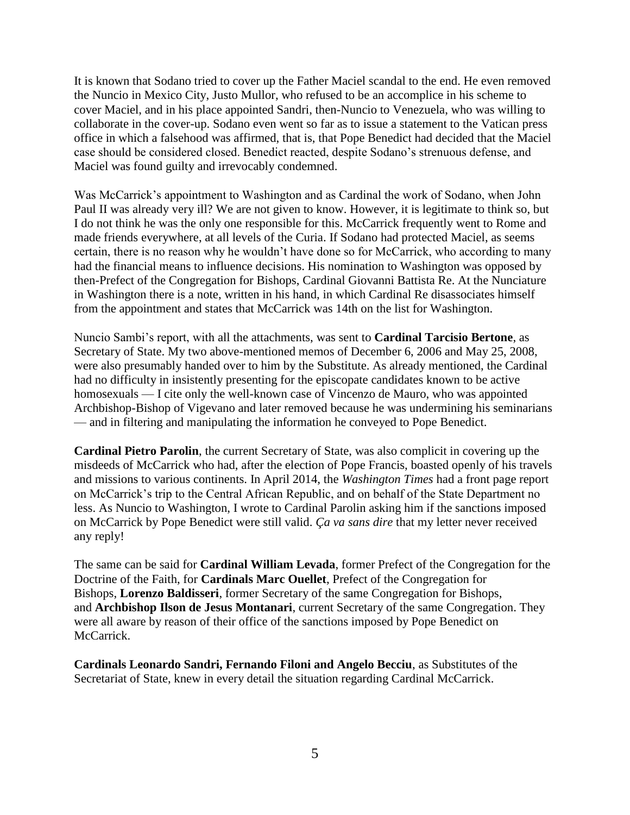It is known that Sodano tried to cover up the Father Maciel scandal to the end. He even removed the Nuncio in Mexico City, Justo Mullor, who refused to be an accomplice in his scheme to cover Maciel, and in his place appointed Sandri, then-Nuncio to Venezuela, who was willing to collaborate in the cover-up. Sodano even went so far as to issue a statement to the Vatican press office in which a falsehood was affirmed, that is, that Pope Benedict had decided that the Maciel case should be considered closed. Benedict reacted, despite Sodano's strenuous defense, and Maciel was found guilty and irrevocably condemned.

Was McCarrick's appointment to Washington and as Cardinal the work of Sodano, when John Paul II was already very ill? We are not given to know. However, it is legitimate to think so, but I do not think he was the only one responsible for this. McCarrick frequently went to Rome and made friends everywhere, at all levels of the Curia. If Sodano had protected Maciel, as seems certain, there is no reason why he wouldn't have done so for McCarrick, who according to many had the financial means to influence decisions. His nomination to Washington was opposed by then-Prefect of the Congregation for Bishops, Cardinal Giovanni Battista Re. At the Nunciature in Washington there is a note, written in his hand, in which Cardinal Re disassociates himself from the appointment and states that McCarrick was 14th on the list for Washington.

Nuncio Sambi's report, with all the attachments, was sent to **Cardinal Tarcisio Bertone**, as Secretary of State. My two above-mentioned memos of December 6, 2006 and May 25, 2008, were also presumably handed over to him by the Substitute. As already mentioned, the Cardinal had no difficulty in insistently presenting for the episcopate candidates known to be active homosexuals — I cite only the well-known case of Vincenzo de Mauro, who was appointed Archbishop-Bishop of Vigevano and later removed because he was undermining his seminarians — and in filtering and manipulating the information he conveyed to Pope Benedict.

**Cardinal Pietro Parolin**, the current Secretary of State, was also complicit in covering up the misdeeds of McCarrick who had, after the election of Pope Francis, boasted openly of his travels and missions to various continents. In April 2014, the *Washington Times* had a front page report on McCarrick's trip to the Central African Republic, and on behalf of the State Department no less. As Nuncio to Washington, I wrote to Cardinal Parolin asking him if the sanctions imposed on McCarrick by Pope Benedict were still valid. *Ça va sans dire* that my letter never received any reply!

The same can be said for **Cardinal William Levada**, former Prefect of the Congregation for the Doctrine of the Faith, for **Cardinals Marc Ouellet**, Prefect of the Congregation for Bishops, **Lorenzo Baldisseri**, former Secretary of the same Congregation for Bishops, and **Archbishop Ilson de Jesus Montanari**, current Secretary of the same Congregation. They were all aware by reason of their office of the sanctions imposed by Pope Benedict on McCarrick.

**Cardinals Leonardo Sandri, Fernando Filoni and Angelo Becciu**, as Substitutes of the Secretariat of State, knew in every detail the situation regarding Cardinal McCarrick.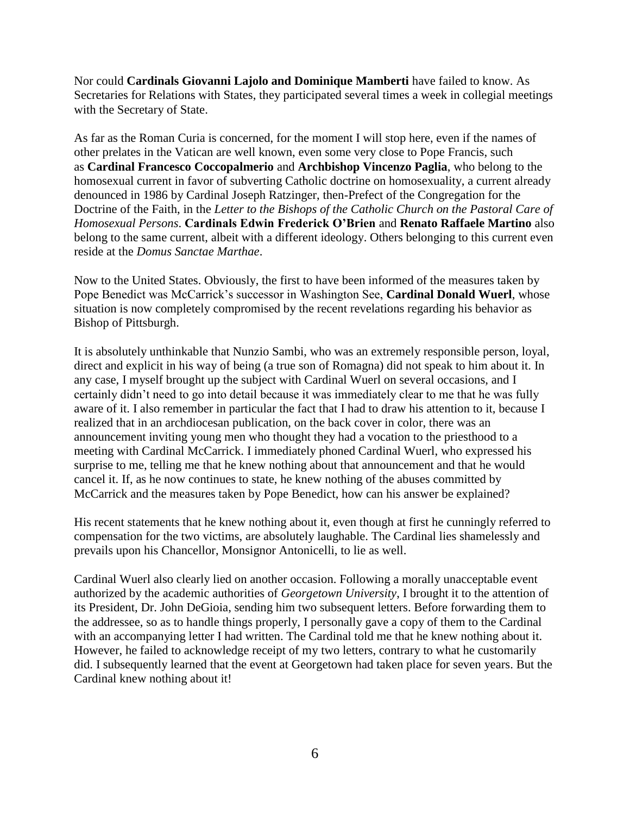Nor could **Cardinals Giovanni Lajolo and Dominique Mamberti** have failed to know. As Secretaries for Relations with States, they participated several times a week in collegial meetings with the Secretary of State.

As far as the Roman Curia is concerned, for the moment I will stop here, even if the names of other prelates in the Vatican are well known, even some very close to Pope Francis, such as **Cardinal Francesco Coccopalmerio** and **Archbishop Vincenzo Paglia**, who belong to the homosexual current in favor of subverting Catholic doctrine on homosexuality, a current already denounced in 1986 by Cardinal Joseph Ratzinger, then-Prefect of the Congregation for the Doctrine of the Faith, in the *Letter to the Bishops of the Catholic Church on the Pastoral Care of Homosexual Persons*. **Cardinals Edwin Frederick O'Brien** and **Renato Raffaele Martino** also belong to the same current, albeit with a different ideology. Others belonging to this current even reside at the *Domus Sanctae Marthae*.

Now to the United States. Obviously, the first to have been informed of the measures taken by Pope Benedict was McCarrick's successor in Washington See, **Cardinal Donald Wuerl**, whose situation is now completely compromised by the recent revelations regarding his behavior as Bishop of Pittsburgh.

It is absolutely unthinkable that Nunzio Sambi, who was an extremely responsible person, loyal, direct and explicit in his way of being (a true son of Romagna) did not speak to him about it. In any case, I myself brought up the subject with Cardinal Wuerl on several occasions, and I certainly didn't need to go into detail because it was immediately clear to me that he was fully aware of it. I also remember in particular the fact that I had to draw his attention to it, because I realized that in an archdiocesan publication, on the back cover in color, there was an announcement inviting young men who thought they had a vocation to the priesthood to a meeting with Cardinal McCarrick. I immediately phoned Cardinal Wuerl, who expressed his surprise to me, telling me that he knew nothing about that announcement and that he would cancel it. If, as he now continues to state, he knew nothing of the abuses committed by McCarrick and the measures taken by Pope Benedict, how can his answer be explained?

His recent statements that he knew nothing about it, even though at first he cunningly referred to compensation for the two victims, are absolutely laughable. The Cardinal lies shamelessly and prevails upon his Chancellor, Monsignor Antonicelli, to lie as well.

Cardinal Wuerl also clearly lied on another occasion. Following a morally unacceptable event authorized by the academic authorities of *Georgetown University*, I brought it to the attention of its President, Dr. John DeGioia, sending him two subsequent letters. Before forwarding them to the addressee, so as to handle things properly, I personally gave a copy of them to the Cardinal with an accompanying letter I had written. The Cardinal told me that he knew nothing about it. However, he failed to acknowledge receipt of my two letters, contrary to what he customarily did. I subsequently learned that the event at Georgetown had taken place for seven years. But the Cardinal knew nothing about it!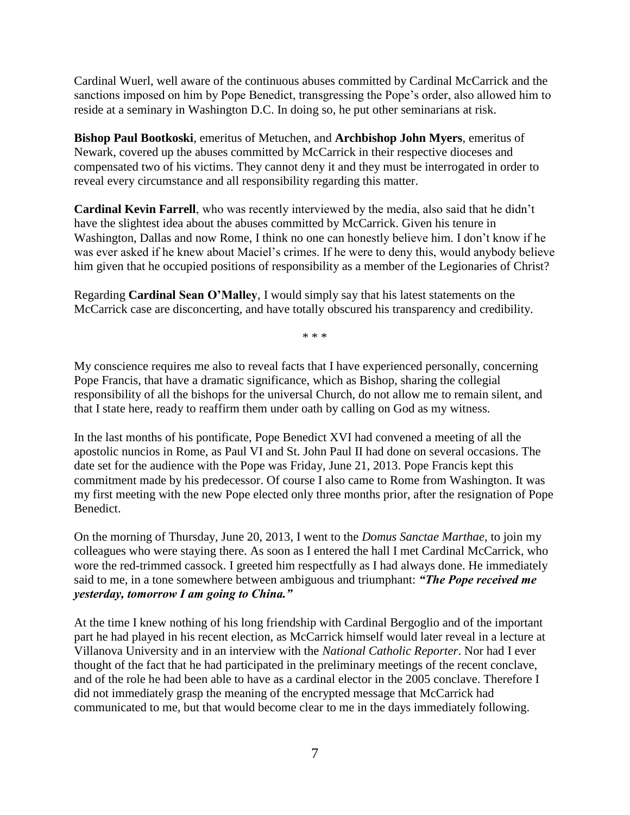Cardinal Wuerl, well aware of the continuous abuses committed by Cardinal McCarrick and the sanctions imposed on him by Pope Benedict, transgressing the Pope's order, also allowed him to reside at a seminary in Washington D.C. In doing so, he put other seminarians at risk.

**Bishop Paul Bootkoski**, emeritus of Metuchen, and **Archbishop John Myers**, emeritus of Newark, covered up the abuses committed by McCarrick in their respective dioceses and compensated two of his victims. They cannot deny it and they must be interrogated in order to reveal every circumstance and all responsibility regarding this matter.

**Cardinal Kevin Farrell**, who was recently interviewed by the media, also said that he didn't have the slightest idea about the abuses committed by McCarrick. Given his tenure in Washington, Dallas and now Rome, I think no one can honestly believe him. I don't know if he was ever asked if he knew about Maciel's crimes. If he were to deny this, would anybody believe him given that he occupied positions of responsibility as a member of the Legionaries of Christ?

Regarding **Cardinal Sean O'Malley**, I would simply say that his latest statements on the McCarrick case are disconcerting, and have totally obscured his transparency and credibility.

\* \* \*

My conscience requires me also to reveal facts that I have experienced personally, concerning Pope Francis, that have a dramatic significance, which as Bishop, sharing the collegial responsibility of all the bishops for the universal Church, do not allow me to remain silent, and that I state here, ready to reaffirm them under oath by calling on God as my witness.

In the last months of his pontificate, Pope Benedict XVI had convened a meeting of all the apostolic nuncios in Rome, as Paul VI and St. John Paul II had done on several occasions. The date set for the audience with the Pope was Friday, June 21, 2013. Pope Francis kept this commitment made by his predecessor. Of course I also came to Rome from Washington. It was my first meeting with the new Pope elected only three months prior, after the resignation of Pope Benedict.

On the morning of Thursday, June 20, 2013, I went to the *Domus Sanctae Marthae*, to join my colleagues who were staying there. As soon as I entered the hall I met Cardinal McCarrick, who wore the red-trimmed cassock. I greeted him respectfully as I had always done. He immediately said to me, in a tone somewhere between ambiguous and triumphant: *"The Pope received me yesterday, tomorrow I am going to China."*

At the time I knew nothing of his long friendship with Cardinal Bergoglio and of the important part he had played in his recent election, as McCarrick himself would later reveal in a lecture at Villanova University and in an interview with the *National Catholic Reporter*. Nor had I ever thought of the fact that he had participated in the preliminary meetings of the recent conclave, and of the role he had been able to have as a cardinal elector in the 2005 conclave. Therefore I did not immediately grasp the meaning of the encrypted message that McCarrick had communicated to me, but that would become clear to me in the days immediately following.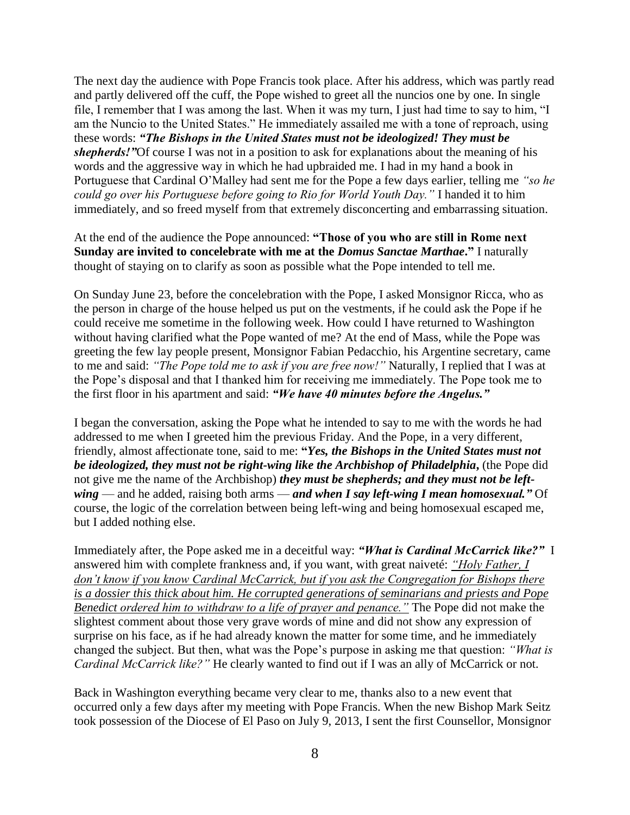The next day the audience with Pope Francis took place. After his address, which was partly read and partly delivered off the cuff, the Pope wished to greet all the nuncios one by one. In single file, I remember that I was among the last. When it was my turn, I just had time to say to him, "I am the Nuncio to the United States." He immediately assailed me with a tone of reproach, using these words: *"The Bishops in the United States must not be ideologized! They must be shepherds!"*Of course I was not in a position to ask for explanations about the meaning of his words and the aggressive way in which he had upbraided me. I had in my hand a book in Portuguese that Cardinal O'Malley had sent me for the Pope a few days earlier, telling me *"so he could go over his Portuguese before going to Rio for World Youth Day."* I handed it to him immediately, and so freed myself from that extremely disconcerting and embarrassing situation.

At the end of the audience the Pope announced: **"Those of you who are still in Rome next Sunday are invited to concelebrate with me at the** *Domus Sanctae Marthae***."** I naturally thought of staying on to clarify as soon as possible what the Pope intended to tell me.

On Sunday June 23, before the concelebration with the Pope, I asked Monsignor Ricca, who as the person in charge of the house helped us put on the vestments, if he could ask the Pope if he could receive me sometime in the following week. How could I have returned to Washington without having clarified what the Pope wanted of me? At the end of Mass, while the Pope was greeting the few lay people present, Monsignor Fabian Pedacchio, his Argentine secretary, came to me and said: *"The Pope told me to ask if you are free now!"* Naturally, I replied that I was at the Pope's disposal and that I thanked him for receiving me immediately. The Pope took me to the first floor in his apartment and said: *"We have 40 minutes before the Angelus."*

I began the conversation, asking the Pope what he intended to say to me with the words he had addressed to me when I greeted him the previous Friday. And the Pope, in a very different, friendly, almost affectionate tone, said to me: **"***Yes, the Bishops in the United States must not be ideologized, they must not be right-wing like the Archbishop of Philadelphia***,** (the Pope did not give me the name of the Archbishop) *they must be shepherds; and they must not be leftwing* — and he added, raising both arms — *and when I say left-wing I mean homosexual."* Of course, the logic of the correlation between being left-wing and being homosexual escaped me, but I added nothing else.

Immediately after, the Pope asked me in a deceitful way: *"What is Cardinal McCarrick like?"* I answered him with complete frankness and, if you want, with great naiveté: *"Holy Father, I don't know if you know Cardinal McCarrick, but if you ask the Congregation for Bishops there is a dossier this thick about him. He corrupted generations of seminarians and priests and Pope Benedict ordered him to withdraw to a life of prayer and penance."* The Pope did not make the slightest comment about those very grave words of mine and did not show any expression of surprise on his face, as if he had already known the matter for some time, and he immediately changed the subject. But then, what was the Pope's purpose in asking me that question: *"What is Cardinal McCarrick like?*" He clearly wanted to find out if I was an ally of McCarrick or not.

Back in Washington everything became very clear to me, thanks also to a new event that occurred only a few days after my meeting with Pope Francis. When the new Bishop Mark Seitz took possession of the Diocese of El Paso on July 9, 2013, I sent the first Counsellor, Monsignor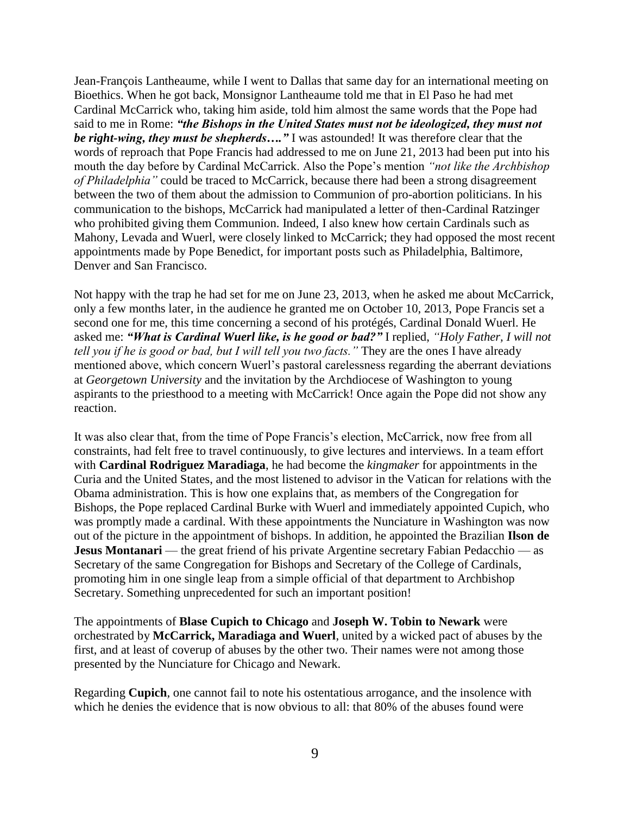Jean-François Lantheaume, while I went to Dallas that same day for an international meeting on Bioethics. When he got back, Monsignor Lantheaume told me that in El Paso he had met Cardinal McCarrick who, taking him aside, told him almost the same words that the Pope had said to me in Rome: *"the Bishops in the United States must not be ideologized, they must not be right-wing, they must be shepherds…."* I was astounded! It was therefore clear that the words of reproach that Pope Francis had addressed to me on June 21, 2013 had been put into his mouth the day before by Cardinal McCarrick. Also the Pope's mention *"not like the Archbishop of Philadelphia"* could be traced to McCarrick, because there had been a strong disagreement between the two of them about the admission to Communion of pro-abortion politicians. In his communication to the bishops, McCarrick had manipulated a letter of then-Cardinal Ratzinger who prohibited giving them Communion. Indeed, I also knew how certain Cardinals such as Mahony, Levada and Wuerl, were closely linked to McCarrick; they had opposed the most recent appointments made by Pope Benedict, for important posts such as Philadelphia, Baltimore, Denver and San Francisco.

Not happy with the trap he had set for me on June 23, 2013, when he asked me about McCarrick, only a few months later, in the audience he granted me on October 10, 2013, Pope Francis set a second one for me, this time concerning a second of his protégés, Cardinal Donald Wuerl. He asked me: *"What is Cardinal Wuerl like, is he good or bad?"* I replied, *"Holy Father, I will not tell you if he is good or bad, but I will tell you two facts."* They are the ones I have already mentioned above, which concern Wuerl's pastoral carelessness regarding the aberrant deviations at *Georgetown University* and the invitation by the Archdiocese of Washington to young aspirants to the priesthood to a meeting with McCarrick! Once again the Pope did not show any reaction.

It was also clear that, from the time of Pope Francis's election, McCarrick, now free from all constraints, had felt free to travel continuously, to give lectures and interviews. In a team effort with **Cardinal Rodriguez Maradiaga**, he had become the *kingmaker* for appointments in the Curia and the United States, and the most listened to advisor in the Vatican for relations with the Obama administration. This is how one explains that, as members of the Congregation for Bishops, the Pope replaced Cardinal Burke with Wuerl and immediately appointed Cupich, who was promptly made a cardinal. With these appointments the Nunciature in Washington was now out of the picture in the appointment of bishops. In addition, he appointed the Brazilian **Ilson de Jesus Montanari** — the great friend of his private Argentine secretary Fabian Pedacchio — as Secretary of the same Congregation for Bishops and Secretary of the College of Cardinals, promoting him in one single leap from a simple official of that department to Archbishop Secretary. Something unprecedented for such an important position!

The appointments of **Blase Cupich to Chicago** and **Joseph W. Tobin to Newark** were orchestrated by **McCarrick, Maradiaga and Wuerl**, united by a wicked pact of abuses by the first, and at least of coverup of abuses by the other two. Their names were not among those presented by the Nunciature for Chicago and Newark.

Regarding **Cupich**, one cannot fail to note his ostentatious arrogance, and the insolence with which he denies the evidence that is now obvious to all: that 80% of the abuses found were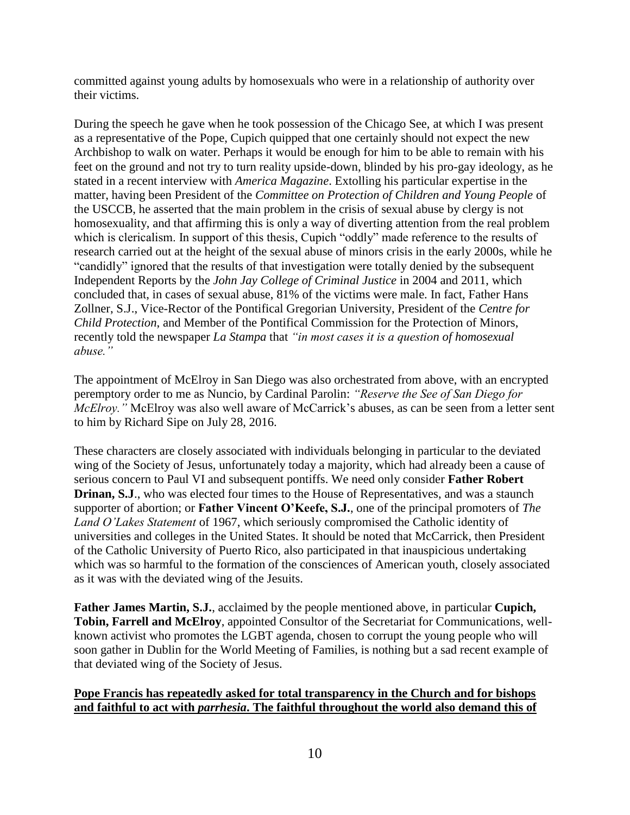committed against young adults by homosexuals who were in a relationship of authority over their victims.

During the speech he gave when he took possession of the Chicago See, at which I was present as a representative of the Pope, Cupich quipped that one certainly should not expect the new Archbishop to walk on water. Perhaps it would be enough for him to be able to remain with his feet on the ground and not try to turn reality upside-down, blinded by his pro-gay ideology, as he stated in a recent interview with *America Magazine*. Extolling his particular expertise in the matter, having been President of the *Committee on Protection of Children and Young People* of the USCCB, he asserted that the main problem in the crisis of sexual abuse by clergy is not homosexuality, and that affirming this is only a way of diverting attention from the real problem which is clericalism. In support of this thesis, Cupich "oddly" made reference to the results of research carried out at the height of the sexual abuse of minors crisis in the early 2000s, while he "candidly" ignored that the results of that investigation were totally denied by the subsequent Independent Reports by the *John Jay College of Criminal Justice* in 2004 and 2011, which concluded that, in cases of sexual abuse, 81% of the victims were male. In fact, Father Hans Zollner, S.J., Vice-Rector of the Pontifical Gregorian University, President of the *Centre for Child Protection*, and Member of the Pontifical Commission for the Protection of Minors, recently told the newspaper *La Stampa* that *"in most cases it is a question of homosexual abuse."*

The appointment of McElroy in San Diego was also orchestrated from above, with an encrypted peremptory order to me as Nuncio, by Cardinal Parolin: *"Reserve the See of San Diego for McElroy.*" McElroy was also well aware of McCarrick's abuses, as can be seen from a letter sent to him by Richard Sipe on July 28, 2016.

These characters are closely associated with individuals belonging in particular to the deviated wing of the Society of Jesus, unfortunately today a majority, which had already been a cause of serious concern to Paul VI and subsequent pontiffs. We need only consider **Father Robert Drinan, S.J.**, who was elected four times to the House of Representatives, and was a staunch supporter of abortion; or **Father Vincent O'Keefe, S.J.**, one of the principal promoters of *The Land O'Lakes Statement* of 1967, which seriously compromised the Catholic identity of universities and colleges in the United States. It should be noted that McCarrick, then President of the Catholic University of Puerto Rico, also participated in that inauspicious undertaking which was so harmful to the formation of the consciences of American youth, closely associated as it was with the deviated wing of the Jesuits.

**Father James Martin, S.J.**, acclaimed by the people mentioned above, in particular **Cupich, Tobin, Farrell and McElroy**, appointed Consultor of the Secretariat for Communications, wellknown activist who promotes the LGBT agenda, chosen to corrupt the young people who will soon gather in Dublin for the World Meeting of Families, is nothing but a sad recent example of that deviated wing of the Society of Jesus.

## **Pope Francis has repeatedly asked for total transparency in the Church and for bishops and faithful to act with** *parrhesia***. The faithful throughout the world also demand this of**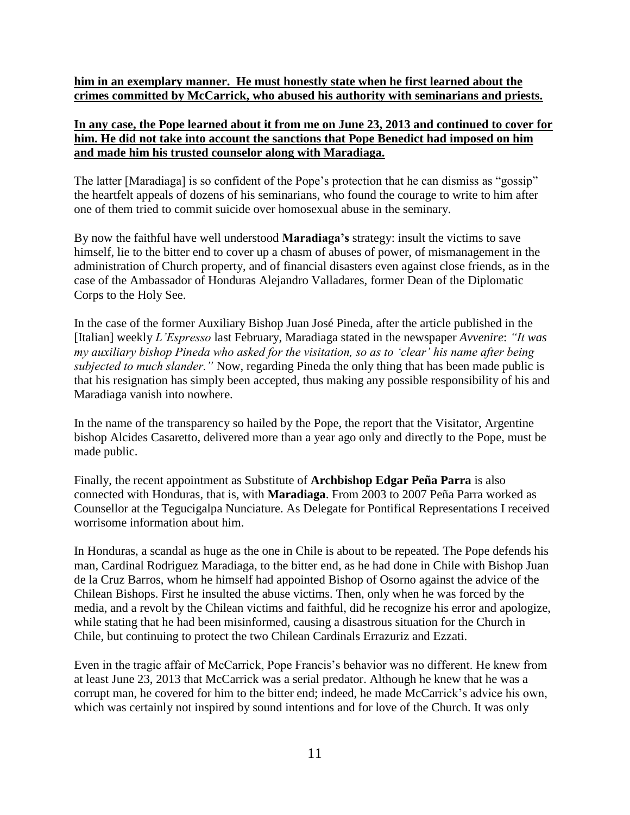#### **him in an exemplary manner. He must honestly state when he first learned about the crimes committed by McCarrick, who abused his authority with seminarians and priests.**

## **In any case, the Pope learned about it from me on June 23, 2013 and continued to cover for him. He did not take into account the sanctions that Pope Benedict had imposed on him and made him his trusted counselor along with Maradiaga.**

The latter [Maradiaga] is so confident of the Pope's protection that he can dismiss as "gossip" the heartfelt appeals of dozens of his seminarians, who found the courage to write to him after one of them tried to commit suicide over homosexual abuse in the seminary.

By now the faithful have well understood **Maradiaga's** strategy: insult the victims to save himself, lie to the bitter end to cover up a chasm of abuses of power, of mismanagement in the administration of Church property, and of financial disasters even against close friends, as in the case of the Ambassador of Honduras Alejandro Valladares, former Dean of the Diplomatic Corps to the Holy See.

In the case of the former Auxiliary Bishop Juan José Pineda, after the article published in the [Italian] weekly *L'Espresso* last February, Maradiaga stated in the newspaper *Avvenire*: *"It was my auxiliary bishop Pineda who asked for the visitation, so as to 'clear' his name after being subjected to much slander."* Now, regarding Pineda the only thing that has been made public is that his resignation has simply been accepted, thus making any possible responsibility of his and Maradiaga vanish into nowhere.

In the name of the transparency so hailed by the Pope, the report that the Visitator, Argentine bishop Alcides Casaretto, delivered more than a year ago only and directly to the Pope, must be made public.

Finally, the recent appointment as Substitute of **Archbishop Edgar Peña Parra** is also connected with Honduras, that is, with **Maradiaga**. From 2003 to 2007 Peña Parra worked as Counsellor at the Tegucigalpa Nunciature. As Delegate for Pontifical Representations I received worrisome information about him.

In Honduras, a scandal as huge as the one in Chile is about to be repeated. The Pope defends his man, Cardinal Rodriguez Maradiaga, to the bitter end, as he had done in Chile with Bishop Juan de la Cruz Barros, whom he himself had appointed Bishop of Osorno against the advice of the Chilean Bishops. First he insulted the abuse victims. Then, only when he was forced by the media, and a revolt by the Chilean victims and faithful, did he recognize his error and apologize, while stating that he had been misinformed, causing a disastrous situation for the Church in Chile, but continuing to protect the two Chilean Cardinals Errazuriz and Ezzati.

Even in the tragic affair of McCarrick, Pope Francis's behavior was no different. He knew from at least June 23, 2013 that McCarrick was a serial predator. Although he knew that he was a corrupt man, he covered for him to the bitter end; indeed, he made McCarrick's advice his own, which was certainly not inspired by sound intentions and for love of the Church. It was only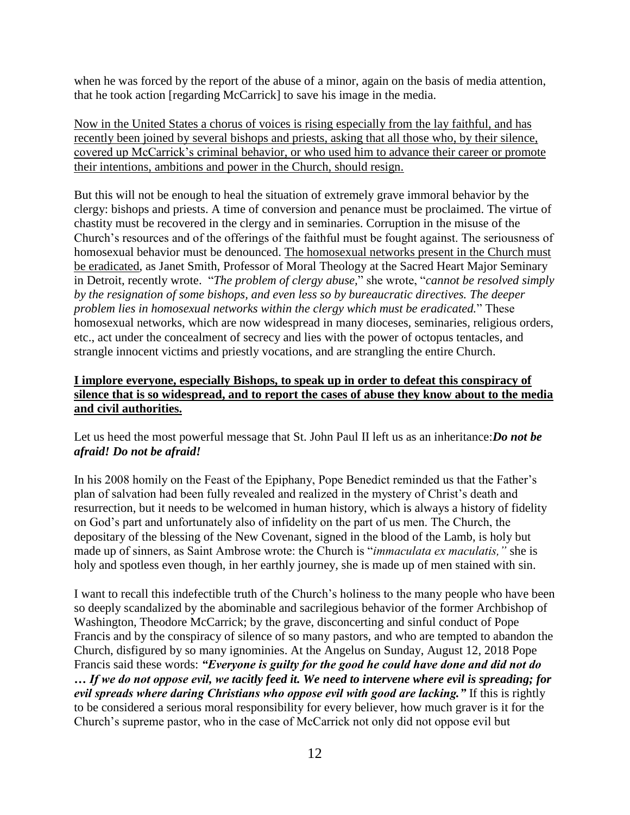when he was forced by the report of the abuse of a minor, again on the basis of media attention, that he took action [regarding McCarrick] to save his image in the media.

Now in the United States a chorus of voices is rising especially from the lay faithful, and has recently been joined by several bishops and priests, asking that all those who, by their silence, covered up McCarrick's criminal behavior, or who used him to advance their career or promote their intentions, ambitions and power in the Church, should resign.

But this will not be enough to heal the situation of extremely grave immoral behavior by the clergy: bishops and priests. A time of conversion and penance must be proclaimed. The virtue of chastity must be recovered in the clergy and in seminaries. Corruption in the misuse of the Church's resources and of the offerings of the faithful must be fought against. The seriousness of homosexual behavior must be denounced. The homosexual networks present in the Church must be eradicated, as Janet Smith, Professor of Moral Theology at the Sacred Heart Major Seminary in Detroit, recently wrote. "*The problem of clergy abuse,*" she wrote, "*cannot be resolved simply by the resignation of some bishops, and even less so by bureaucratic directives. The deeper problem lies in homosexual networks within the clergy which must be eradicated.*" These homosexual networks, which are now widespread in many dioceses, seminaries, religious orders, etc., act under the concealment of secrecy and lies with the power of octopus tentacles, and strangle innocent victims and priestly vocations, and are strangling the entire Church.

## **I implore everyone, especially Bishops, to speak up in order to defeat this conspiracy of silence that is so widespread, and to report the cases of abuse they know about to the media and civil authorities.**

Let us heed the most powerful message that St. John Paul II left us as an inheritance:*Do not be afraid! Do not be afraid!*

In his 2008 homily on the Feast of the Epiphany, Pope Benedict reminded us that the Father's plan of salvation had been fully revealed and realized in the mystery of Christ's death and resurrection, but it needs to be welcomed in human history, which is always a history of fidelity on God's part and unfortunately also of infidelity on the part of us men. The Church, the depositary of the blessing of the New Covenant, signed in the blood of the Lamb, is holy but made up of sinners, as Saint Ambrose wrote: the Church is "*immaculata ex maculatis,"* she is holy and spotless even though, in her earthly journey, she is made up of men stained with sin.

I want to recall this indefectible truth of the Church's holiness to the many people who have been so deeply scandalized by the abominable and sacrilegious behavior of the former Archbishop of Washington, Theodore McCarrick; by the grave, disconcerting and sinful conduct of Pope Francis and by the conspiracy of silence of so many pastors, and who are tempted to abandon the Church, disfigured by so many ignominies. At the Angelus on Sunday, August 12, 2018 Pope Francis said these words: *"Everyone is guilty for the good he could have done and did not do … If we do not oppose evil, we tacitly feed it. We need to intervene where evil is spreading; for evil spreads where daring Christians who oppose evil with good are lacking."* If this is rightly to be considered a serious moral responsibility for every believer, how much graver is it for the Church's supreme pastor, who in the case of McCarrick not only did not oppose evil but